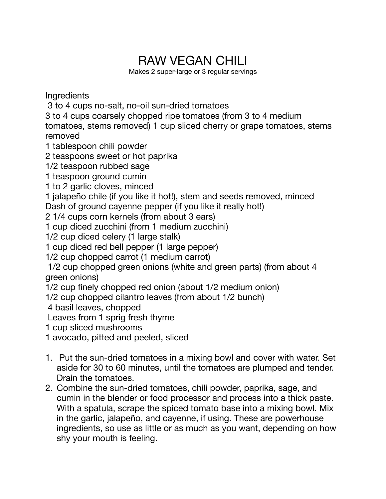## RAW VEGAN CHILI

Makes 2 super-large or 3 regular servings

**Ingredients** 

3 to 4 cups no-salt, no-oil sun-dried tomatoes

3 to 4 cups coarsely chopped ripe tomatoes (from 3 to 4 medium tomatoes, stems removed) 1 cup sliced cherry or grape tomatoes, stems removed

1 tablespoon chili powder

2 teaspoons sweet or hot paprika

1/2 teaspoon rubbed sage

1 teaspoon ground cumin

1 to 2 garlic cloves, minced

1 jalapeño chile (if you like it hot!), stem and seeds removed, minced

Dash of ground cayenne pepper (if you like it really hot!)

2 1/4 cups corn kernels (from about 3 ears)

1 cup diced zucchini (from 1 medium zucchini)

1/2 cup diced celery (1 large stalk)

1 cup diced red bell pepper (1 large pepper)

1/2 cup chopped carrot (1 medium carrot)

 1/2 cup chopped green onions (white and green parts) (from about 4 green onions)

1/2 cup finely chopped red onion (about 1/2 medium onion)

1/2 cup chopped cilantro leaves (from about 1/2 bunch)

4 basil leaves, chopped

Leaves from 1 sprig fresh thyme

1 cup sliced mushrooms

1 avocado, pitted and peeled, sliced

- 1. Put the sun-dried tomatoes in a mixing bowl and cover with water. Set aside for 30 to 60 minutes, until the tomatoes are plumped and tender. Drain the tomatoes.
- 2. Combine the sun-dried tomatoes, chili powder, paprika, sage, and cumin in the blender or food processor and process into a thick paste. With a spatula, scrape the spiced tomato base into a mixing bowl. Mix in the garlic, jalapeño, and cayenne, if using. These are powerhouse ingredients, so use as little or as much as you want, depending on how shy your mouth is feeling.